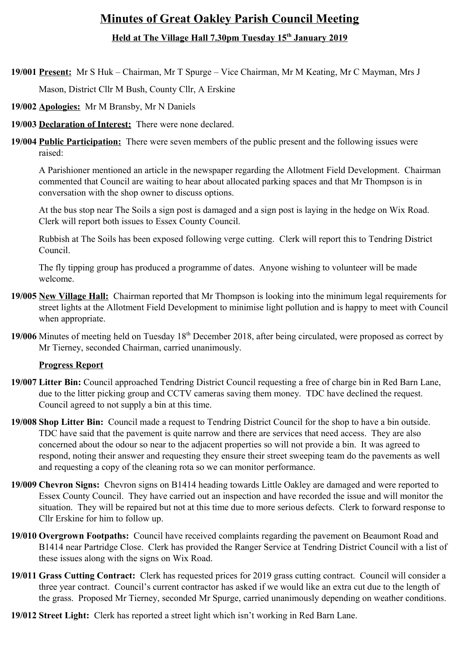# **Minutes of Great Oakley Parish Council Meeting Held at The Village Hall 7.30pm Tuesday 15th January 2019**

**19/001 Present:** Mr S Huk – Chairman, Mr T Spurge – Vice Chairman, Mr M Keating, Mr C Mayman, Mrs J

Mason, District Cllr M Bush, County Cllr, A Erskine

- **19/002 Apologies:** Mr M Bransby, Mr N Daniels
- **19/003 Declaration of Interest:** There were none declared.
- **19/004 Public Participation:** There were seven members of the public present and the following issues were raised:

A Parishioner mentioned an article in the newspaper regarding the Allotment Field Development. Chairman commented that Council are waiting to hear about allocated parking spaces and that Mr Thompson is in conversation with the shop owner to discuss options.

At the bus stop near The Soils a sign post is damaged and a sign post is laying in the hedge on Wix Road. Clerk will report both issues to Essex County Council.

Rubbish at The Soils has been exposed following verge cutting. Clerk will report this to Tendring District Council.

The fly tipping group has produced a programme of dates. Anyone wishing to volunteer will be made welcome.

- **19/005 New Village Hall:** Chairman reported that Mr Thompson is looking into the minimum legal requirements for street lights at the Allotment Field Development to minimise light pollution and is happy to meet with Council when appropriate.
- **19/006** Minutes of meeting held on Tuesday 18<sup>th</sup> December 2018, after being circulated, were proposed as correct by Mr Tierney, seconded Chairman, carried unanimously.

## **Progress Report**

- **19/007 Litter Bin:** Council approached Tendring District Council requesting a free of charge bin in Red Barn Lane, due to the litter picking group and CCTV cameras saving them money. TDC have declined the request. Council agreed to not supply a bin at this time.
- **19/008 Shop Litter Bin:** Council made a request to Tendring District Council for the shop to have a bin outside. TDC have said that the pavement is quite narrow and there are services that need access. They are also concerned about the odour so near to the adjacent properties so will not provide a bin. It was agreed to respond, noting their answer and requesting they ensure their street sweeping team do the pavements as well and requesting a copy of the cleaning rota so we can monitor performance.
- **19/009 Chevron Signs:** Chevron signs on B1414 heading towards Little Oakley are damaged and were reported to Essex County Council. They have carried out an inspection and have recorded the issue and will monitor the situation. They will be repaired but not at this time due to more serious defects. Clerk to forward response to Cllr Erskine for him to follow up.
- **19/010 Overgrown Footpaths:** Council have received complaints regarding the pavement on Beaumont Road and B1414 near Partridge Close. Clerk has provided the Ranger Service at Tendring District Council with a list of these issues along with the signs on Wix Road.
- **19/011 Grass Cutting Contract:** Clerk has requested prices for 2019 grass cutting contract. Council will consider a three year contract. Council's current contractor has asked if we would like an extra cut due to the length of the grass. Proposed Mr Tierney, seconded Mr Spurge, carried unanimously depending on weather conditions.
- **19/012 Street Light:** Clerk has reported a street light which isn't working in Red Barn Lane.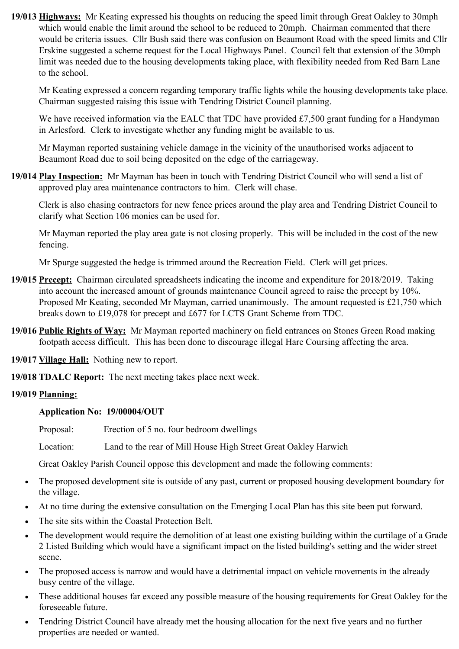**19/013 Highways:** Mr Keating expressed his thoughts on reducing the speed limit through Great Oakley to 30mph which would enable the limit around the school to be reduced to 20mph. Chairman commented that there would be criteria issues. Cllr Bush said there was confusion on Beaumont Road with the speed limits and Cllr Erskine suggested a scheme request for the Local Highways Panel. Council felt that extension of the 30mph limit was needed due to the housing developments taking place, with flexibility needed from Red Barn Lane to the school.

Mr Keating expressed a concern regarding temporary traffic lights while the housing developments take place. Chairman suggested raising this issue with Tendring District Council planning.

We have received information via the EALC that TDC have provided £7,500 grant funding for a Handyman in Arlesford. Clerk to investigate whether any funding might be available to us.

Mr Mayman reported sustaining vehicle damage in the vicinity of the unauthorised works adjacent to Beaumont Road due to soil being deposited on the edge of the carriageway.

**19/014 Play Inspection:** Mr Mayman has been in touch with Tendring District Council who will send a list of approved play area maintenance contractors to him. Clerk will chase.

Clerk is also chasing contractors for new fence prices around the play area and Tendring District Council to clarify what Section 106 monies can be used for.

Mr Mayman reported the play area gate is not closing properly. This will be included in the cost of the new fencing.

Mr Spurge suggested the hedge is trimmed around the Recreation Field. Clerk will get prices.

- **19/015 Precept:** Chairman circulated spreadsheets indicating the income and expenditure for 2018/2019. Taking into account the increased amount of grounds maintenance Council agreed to raise the precept by 10%. Proposed Mr Keating, seconded Mr Mayman, carried unanimously. The amount requested is £21,750 which breaks down to £19,078 for precept and £677 for LCTS Grant Scheme from TDC.
- **19/016 Public Rights of Way:** Mr Mayman reported machinery on field entrances on Stones Green Road making footpath access difficult. This has been done to discourage illegal Hare Coursing affecting the area.

**19/017 Village Hall:** Nothing new to report.

**19/018 TDALC Report:** The next meeting takes place next week.

## **19/019 Planning:**

#### **Application No: 19/00004/OUT**

Proposal: Erection of 5 no. four bedroom dwellings

Location: Land to the rear of Mill House High Street Great Oakley Harwich

Great Oakley Parish Council oppose this development and made the following comments:

- The proposed development site is outside of any past, current or proposed housing development boundary for the village.
- At no time during the extensive consultation on the Emerging Local Plan has this site been put forward.
- The site sits within the Coastal Protection Belt.
- The development would require the demolition of at least one existing building within the curtilage of a Grade 2 Listed Building which would have a significant impact on the listed building's setting and the wider street scene.
- The proposed access is narrow and would have a detrimental impact on vehicle movements in the already busy centre of the village.
- These additional houses far exceed any possible measure of the housing requirements for Great Oakley for the foreseeable future.
- Tendring District Council have already met the housing allocation for the next five years and no further properties are needed or wanted.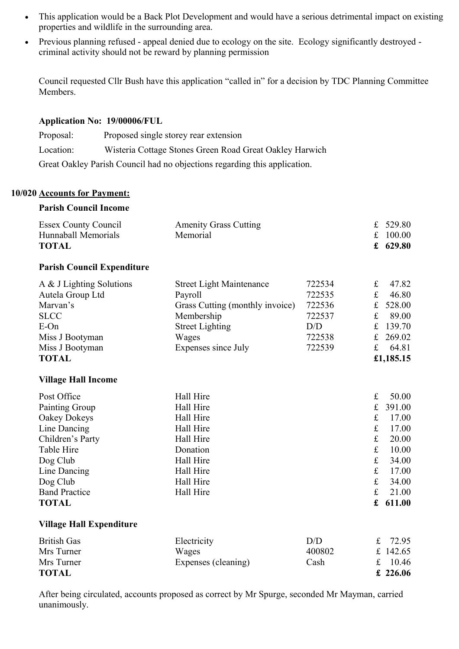- This application would be a Back Plot Development and would have a serious detrimental impact on existing properties and wildlife in the surrounding area.
- Previous planning refused appeal denied due to ecology on the site. Ecology significantly destroyed criminal activity should not be reward by planning permission

Council requested Cllr Bush have this application "called in" for a decision by TDC Planning Committee Members.

## **Application No: 19/00006/FUL**

| Proposal: | Proposed single storey rear extension                                     |
|-----------|---------------------------------------------------------------------------|
| Location: | Wisteria Cottage Stones Green Road Great Oakley Harwich                   |
|           | Great Oakley Parish Council had no objections regarding this application. |

# **10/020 Accounts for Payment:**

# **Parish Council Income**

| <b>Essex County Council</b><br>Hunnaball Memorials<br><b>TOTAL</b> | <b>Amenity Grass Cutting</b><br>Memorial |        | £<br>£<br>£  | 529.80<br>100.00<br>629.80 |
|--------------------------------------------------------------------|------------------------------------------|--------|--------------|----------------------------|
| <b>Parish Council Expenditure</b>                                  |                                          |        |              |                            |
| A & J Lighting Solutions                                           | <b>Street Light Maintenance</b>          | 722534 | £            | 47.82                      |
| Autela Group Ltd                                                   | Payroll                                  | 722535 | $\pounds$    | 46.80                      |
| Marvan's                                                           | Grass Cutting (monthly invoice)          | 722536 | $\pounds$    | 528.00                     |
| <b>SLCC</b>                                                        | Membership                               | 722537 | $\pounds$    | 89.00                      |
| E-On                                                               | <b>Street Lighting</b>                   | D/D    | $\pounds$    | 139.70                     |
| Miss J Bootyman                                                    | Wages                                    | 722538 | £            | 269.02                     |
| Miss J Bootyman                                                    | Expenses since July                      | 722539 | £            | 64.81                      |
| <b>TOTAL</b>                                                       |                                          |        |              | £1,185.15                  |
| <b>Village Hall Income</b>                                         |                                          |        |              |                            |
| Post Office                                                        | Hall Hire                                |        | $\pounds$    | 50.00                      |
| Painting Group                                                     | Hall Hire                                |        | £            | 391.00                     |
| Oakey Dokeys                                                       | Hall Hire                                |        | $\mathbf f$  | 17.00                      |
| Line Dancing                                                       | Hall Hire                                |        | $\mathbf f$  | 17.00                      |
| Children's Party                                                   | Hall Hire                                |        | $\mathbf f$  | 20.00                      |
| Table Hire                                                         | Donation                                 |        | $\pounds$    | 10.00                      |
| Dog Club                                                           | Hall Hire                                |        | $\mathbf f$  | 34.00                      |
| Line Dancing                                                       | Hall Hire                                |        | $\mathbf f$  | 17.00                      |
| Dog Club                                                           | Hall Hire                                |        | $\pounds$    | 34.00                      |
| <b>Band Practice</b>                                               | Hall Hire                                |        | $\mathbf f$  | 21.00                      |
| <b>TOTAL</b>                                                       |                                          |        | £            | 611.00                     |
| <b>Village Hall Expenditure</b>                                    |                                          |        |              |                            |
| <b>Dritich Gas</b>                                                 | Floctrici <sub>tr</sub>                  | D/D    | $\mathbf{r}$ | 72.05                      |

British Gas **Electricity** D/D £ 72.95 Mrs Turner Wages 400802 £ 142.65 Mrs Turner Expenses (cleaning) Cash £ 10.46 **TOTAL £ 226.06**

After being circulated, accounts proposed as correct by Mr Spurge, seconded Mr Mayman, carried unanimously.